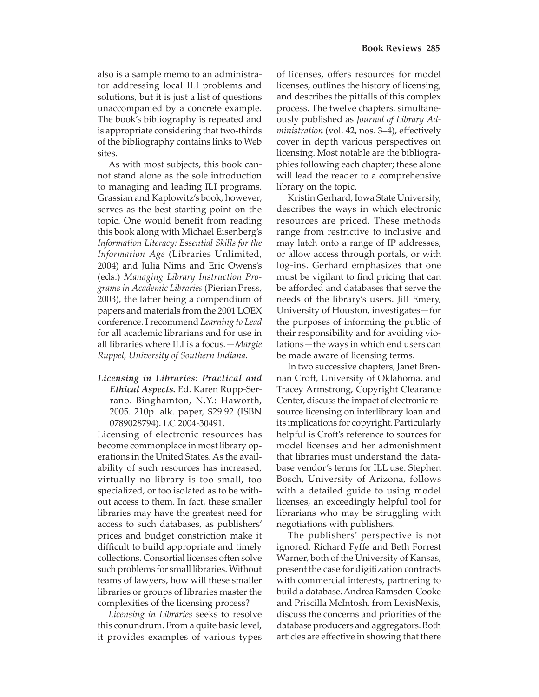also is a sample memo to an administrator addressing local ILI problems and solutions, but it is just a list of questions unaccompanied by a concrete example. The book's bibliography is repeated and is appropriate considering that two-thirds of the bibliography contains links to Web sites.

As with most subjects, this book cannot stand alone as the sole introduction to managing and leading ILI programs. Grassian and Kaplowitz's book, however, serves as the best starting point on the topic. One would benefit from reading this book along with Michael Eisenberg's *Information Literacy: Essential Skills for the Information Age* (Libraries Unlimited, 2004) and Julia Nims and Eric Owens's (eds.) *Managing Library Instruction Programs in Academic Libraries* (Pierian Press, 2003), the latter being a compendium of papers and materials from the 2001 LOEX conference. I recommend *Learning to Lead*  for all academic librarians and for use in all libraries where ILI is a focus*.—Margie Ruppel, University of Southern Indiana.* 

*Licensing in Libraries: Practical and Ethical Aspects.* Ed. Karen Rupp-Serrano. Binghamton, N.Y.: Haworth, 2005. 210p. alk. paper, \$29.92 (ISBN 0789028794). LC 2004-30491.

Licensing of electronic resources has become commonplace in most library operations in the United States. As the availability of such resources has increased, virtually no library is too small, too specialized, or too isolated as to be without access to them. In fact, these smaller libraries may have the greatest need for access to such databases, as publishers' prices and budget constriction make it difficult to build appropriate and timely collections. Consortial licenses often solve such problems for small libraries. Without teams of lawyers, how will these smaller libraries or groups of libraries master the complexities of the licensing process?

*Licensing in Libraries* seeks to resolve this conundrum. From a quite basic level, it provides examples of various types

of licenses, offers resources for model licenses, outlines the history of licensing, and describes the pitfalls of this complex process. The twelve chapters, simultaneously published as *Journal of Library Ad*ministration (vol. 42, nos. 3-4), effectively cover in depth various perspectives on licensing. Most notable are the bibliographies following each chapter; these alone will lead the reader to a comprehensive library on the topic.

Kristin Gerhard, Iowa State University, describes the ways in which electronic resources are priced. These methods range from restrictive to inclusive and may latch onto a range of IP addresses, or allow access through portals, or with log-ins. Gerhard emphasizes that one must be vigilant to find pricing that can be afforded and databases that serve the needs of the library's users. Jill Emery, University of Houston, investigates—for the purposes of informing the public of their responsibility and for avoiding violations—the ways in which end users can be made aware of licensing terms.

In two successive chapters, Janet Brennan Croft, University of Oklahoma, and Tracey Armstrong, Copyright Clearance Center, discuss the impact of electronic resource licensing on interlibrary loan and its implications for copyright. Particularly helpful is Croft's reference to sources for model licenses and her admonishment that libraries must understand the database vendor's terms for ILL use. Stephen Bosch, University of Arizona, follows with a detailed guide to using model licenses, an exceedingly helpful tool for librarians who may be struggling with negotiations with publishers.

The publishers' perspective is not ignored. Richard Fyffe and Beth Forrest Warner, both of the University of Kansas, present the case for digitization contracts with commercial interests, partnering to build a database. Andrea Ramsden-Cooke and Priscilla McIntosh, from LexisNexis, discuss the concerns and priorities of the database producers and aggregators. Both articles are effective in showing that there